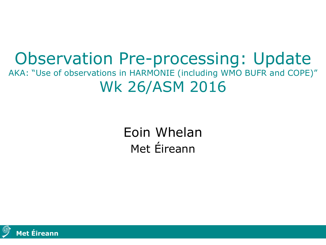#### Observation Pre-processing: Update AKA: "Use of observations in HARMONIE (including WMO BUFR and COPE)" Wk 26/ASM 2016

Eoin Whelan Met Éireann

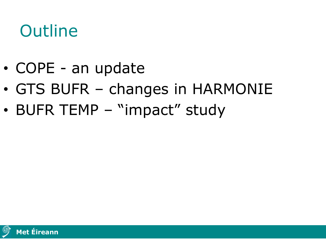### **Outline**

- COPE an update
- GTS BUFR changes in HARMONIE
- BUFR TEMP "impact" study

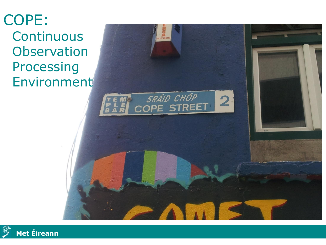#### COPE: **Continuous Observation** Processing Environment



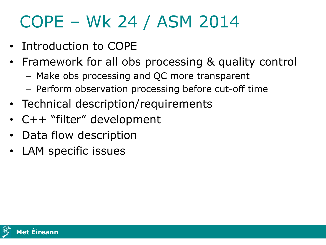## COPE – Wk 24 / ASM 2014

- Introduction to COPE
- Framework for all obs processing & quality control
	- Make obs processing and QC more transparent
	- Perform observation processing before cut-off time
- Technical description/requirements
- C++ "filter" development
- Data flow description
- LAM specific issues

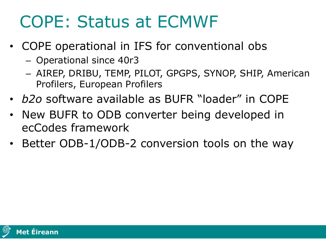## COPE: Status at ECMWF

- COPE operational in IFS for conventional obs
	- Operational since 40r3
	- AIREP, DRIBU, TEMP, PILOT, GPGPS, SYNOP, SHIP, American Profilers, European Profilers
- *b2o* software available as BUFR "loader" in COPE
- New BUFR to ODB converter being developed in ecCodes framework
- Better ODB-1/ODB-2 conversion tools on the way

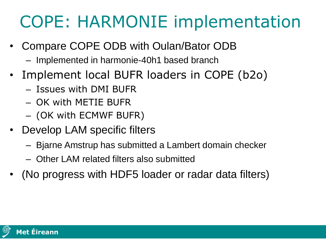## COPE: HARMONIE implementation

- Compare COPE ODB with Oulan/Bator ODB
	- Implemented in harmonie-40h1 based branch
- Implement local BUFR loaders in COPE (b2o)
	- Issues with DMI BUFR
	- OK with METIE BUFR
	- (OK with ECMWF BUFR)
- Develop LAM specific filters
	- Bjarne Amstrup has submitted a Lambert domain checker
	- Other LAM related filters also submitted
- (No progress with HDF5 loader or radar data filters)

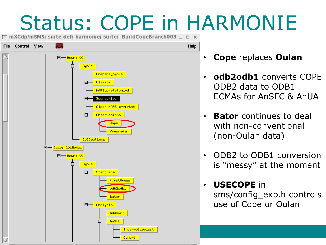# Status: COPE in HARMONIE

 $\Box$  mXCdp/mSMS; suite def: harmonie; suite: BuildCopeBranch003  $\Box$  $\Box$   $\times$ 



- **Cope** replaces **Oulan**
- **odb2odb1** converts COPE ODB2 data to ODB1 ECMAs for AnSFC & AnUA
- **Bator** continues to deal with non-conventional (non-Oulan data)
- ODB2 to ODB1 conversion is "messy" at the moment
- **USECOPE** in sms/config\_exp.h controls use of Cope or Oulan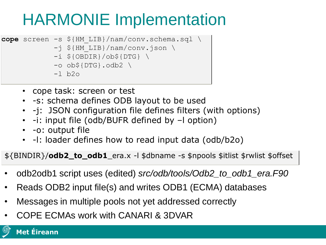### HARMONIE Implementation

- cope screen -s \${HM LIB}/nam/conv.schema.sql \
	- -j \${HM\_LIB}/nam/conv.json \
	- $-i$  \${OBDIR}/ob\${DTG} \
	- $\sim$  ob\${DTG}.odb2 \
	- $-l$  b2o
	- cope task: screen or test
	- -s: schema defines ODB layout to be used
	- -j: JSON configuration file defines filters (with options)
	- -i: input file (odb/BUFR defined by –l option)
	- -o: output file
	- -l: loader defines how to read input data (odb/b2o)

\${BINDIR}/**odb2\_to\_odb1**\_era.x -l \$dbname -s \$npools \$itlist \$rwlist \$offset

- odb2odb1 script uses (edited) *src/odb/tools/Odb2\_to\_odb1\_era.F90*
- Reads ODB2 input file(s) and writes ODB1 (ECMA) databases
- Messages in multiple pools not yet addressed correctly
- COPE ECMAs work with CANARI & 3DVAR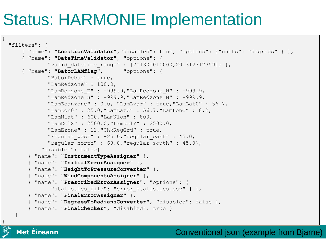### Status: HARMONIE Implementation

```
"filters": [
  { "name": "LocationValidator","disabled": true, "options": {"units": "degrees" } },
  { "name": "DateTimeValidator", "options": {
          "valid datetime range" : [201301010000,201312312359]} },
  { "name": "BatorLAMflag", "options": {
          "BatorDebug" : true,
          "LamRedzone" : 100.0,
          "LamRedzone E" : -999.9, "LamRedzone W" : -999.9,
          "LamRedzone S" : -999.9, "LamRedzone N" : -999.9,
          "LamZcanzone" : 0.0, "LamLvar" : true,"LamLat0" : 56.7,
          "LamLon0" : 25.0,"LamLatC" : 56.7,"LamLonC" : 8.2,
          "LamNlat" : 600,"LamNlon" : 800,
          "LamDelX" : 2500.0,"LamDelY" : 2500.0,
          "LamEzone" : 11,"ChkRegGrd" : true,
          "reqular west" : -25.0, "regular east" : 45.0,
          "regular north" : 68.0, "regular south" : 45.0},
        "disabled": false}
    { "name": "InstrumentTypeAssigner" },
    { "name": "InitialErrorAssigner" },
    { "name": "HeightToPressureConverter" },
    { "name": "WindComponentsAssigner" },
    { "name": "PrescribedErrorAssigner", "options": { 
           "statistics file": "error statistics.csv" } },
    { "name": "FinalErrorAssigner" },
    { "name": "DegreesToRadiansConverter", "disabled": false },
    { "name": "FinalChecker", "disabled": true }
]
```
**Met Éireann Met Éireann**

}

{

Conventional json (example from Bjarne)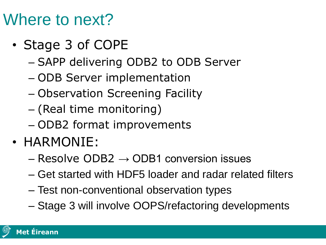#### Where to next?

- Stage 3 of COPE
	- SAPP delivering ODB2 to ODB Server
	- ODB Server implementation
	- Observation Screening Facility
	- (Real time monitoring)
	- ODB2 format improvements
- HARMONIE:
	- $-$  Resolve ODB2  $\rightarrow$  ODB1 conversion issues
	- Get started with HDF5 loader and radar related filters
	- Test non-conventional observation types
	- Stage 3 will involve OOPS/refactoring developments

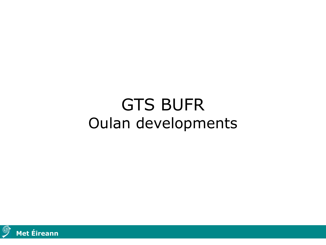#### GTS BUFR Oulan developments

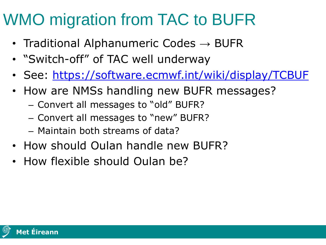#### WMO migration from TAC to BUFR

- Traditional Alphanumeric Codes  $\rightarrow$  BUFR
- "Switch-off" of TAC well underway
- See:<https://software.ecmwf.int/wiki/display/TCBUF>
- How are NMSs handling new BUFR messages?
	- Convert all messages to "old" BUFR?
	- Convert all messages to "new" BUFR?
	- Maintain both streams of data?
- How should Oulan handle new BUFR?
- How flexible should Oulan be?

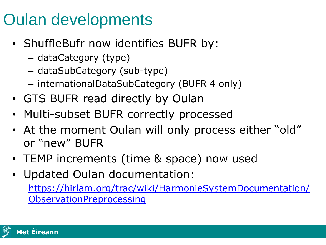#### Oulan developments

- ShuffleBufr now identifies BUFR by:
	- dataCategory (type)
	- dataSubCategory (sub-type)
	- internationalDataSubCategory (BUFR 4 only)
- GTS BUFR read directly by Oulan
- Multi-subset BUFR correctly processed
- At the moment Oulan will only process either "old" or "new" BUFR
- TEMP increments (time & space) now used
- Updated Oulan documentation:

[https://hirlam.org/trac/wiki/HarmonieSystemDocumentation/](https://hirlam.org/trac/wiki/HarmonieSystemDocumentation/ObservationPreprocessing) **ObservationPreprocessing** 

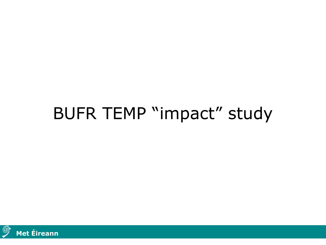#### BUFR TEMP "impact" study

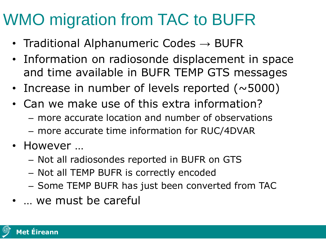#### WMO migration from TAC to BUFR

- Traditional Alphanumeric Codes  $\rightarrow$  BUFR
- Information on radiosonde displacement in space and time available in BUFR TEMP GTS messages
- Increase in number of levels reported  $( \sim 5000)$
- Can we make use of this extra information?
	- more accurate location and number of observations
	- more accurate time information for RUC/4DVAR
- However ...
	- Not all radiosondes reported in BUFR on GTS
	- Not all TEMP BUFR is correctly encoded
	- Some TEMP BUFR has just been converted from TAC
- … we must be careful

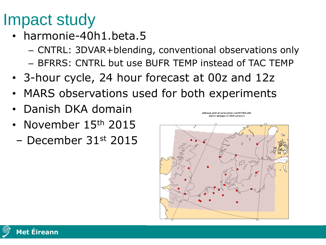#### Impact study

- harmonie-40h1.beta.5
	- CNTRL: 3DVAR+blending, conventional observations only
	- BFRRS: CNTRL but use BUFR TEMP instead of TAC TEMP
- 3-hour cycle, 24 hour forecast at 00z and 12z
- MARS observations used for both experiments
- Danish DKA domain
- November 15<sup>th</sup> 2015
- December 31st 2015



odbmap plot of varno from cntrlCCMA.odb

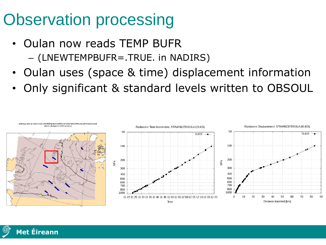### Observation processing

- Oulan now reads TEMP BUFR – (LNEWTEMPBUFR=.TRUE. in NADIRS)
- Oulan uses (space & time) displacement information
- Only significant & standard levels written to OBSOUL



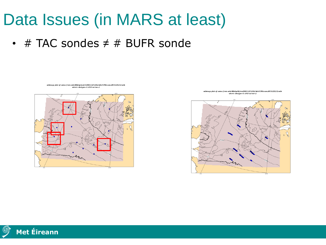#### Data Issues (in MARS at least)

•  $\#$  TAC sondes  $\neq$   $\#$  BUFR sonde

odbmap plot of varno from odb/40b1p5cntrl/2015/12/12/12/3dvCCMAconv2015121212.odb where  $obstype = 5 AND$  varno=2



odbmap plot of varno from odb/40b1p5bfrrs/2015/12/12/12/3dvCCMAconv2015121212.odb where  $obstyle=5$  AND varno=2



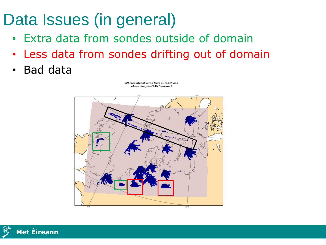### Data Issues (in general)

- Extra data from sondes outside of domain
- Less data from sondes drifting out of domain
- **Bad data**

odbmap plot of varno from allECMA.odb where  $obstyle=5$  AND varno=2



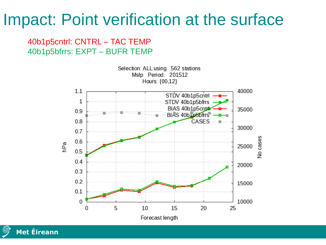#### Impact: Point verification at the surface

#### 40b1p5cntrl: CNTRL – TAC TEMP 40b1p5bfrrs: EXPT – BUFR TEMP

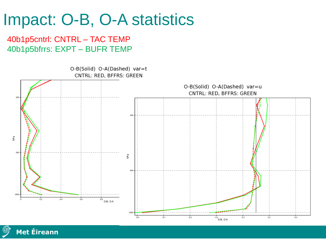#### Impact: O-B, O-A statistics

40b1p5cntrl: CNTRL – TAC TEMP 40b1p5bfrrs: EXPT – BUFR TEMP



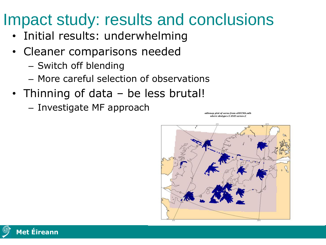#### Impact study: results and conclusions

- Initial results: underwhelming
- Cleaner comparisons needed
	- Switch off blending
	- More careful selection of observations
- Thinning of data be less brutal!
	- Investigate MF approach



odbmap plot of varno from allECMA.odb